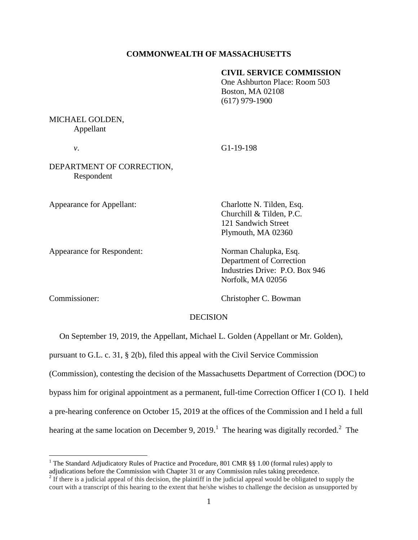## **COMMONWEALTH OF MASSACHUSETTS**

## **CIVIL SERVICE COMMISSION**

One Ashburton Place: Room 503 Boston, MA 02108 (617) 979-1900

# MICHAEL GOLDEN, Appellant

*v*. G1-19-198

DEPARTMENT OF CORRECTION, Respondent

Appearance for Appellant: Charlotte N. Tilden, Esq.

Appearance for Respondent: Norman Chalupka, Esq.

Churchill & Tilden, P.C. 121 Sandwich Street Plymouth, MA 02360

Department of Correction Industries Drive: P.O. Box 946 Norfolk, MA 02056

 $\overline{a}$ 

Commissioner: Christopher C. Bowman

## DECISION

On September 19, 2019, the Appellant, Michael L. Golden (Appellant or Mr. Golden),

pursuant to G.L. c. 31, § 2(b), filed this appeal with the Civil Service Commission

(Commission), contesting the decision of the Massachusetts Department of Correction (DOC) to

bypass him for original appointment as a permanent, full-time Correction Officer I (CO I). I held

a pre-hearing conference on October 15, 2019 at the offices of the Commission and I held a full

hearing at the same location on December 9, 2019.<sup>1</sup> The hearing was digitally recorded.<sup>2</sup> The

<sup>&</sup>lt;sup>1</sup> The Standard Adjudicatory Rules of Practice and Procedure, 801 CMR §§ 1.00 (formal rules) apply to

adjudications before the Commission with Chapter 31 or any Commission rules taking precedence.<br><sup>2</sup> If there is a judicial appeal of this decision, the plaintiff in the judicial appeal would be obligated to supply the court with a transcript of this hearing to the extent that he/she wishes to challenge the decision as unsupported by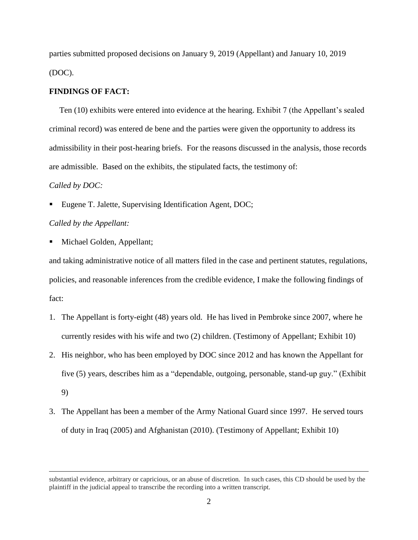parties submitted proposed decisions on January 9, 2019 (Appellant) and January 10, 2019 (DOC).

#### **FINDINGS OF FACT:**

Ten (10) exhibits were entered into evidence at the hearing. Exhibit 7 (the Appellant's sealed criminal record) was entered de bene and the parties were given the opportunity to address its admissibility in their post-hearing briefs. For the reasons discussed in the analysis, those records are admissible. Based on the exhibits, the stipulated facts, the testimony of:

### *Called by DOC:*

 $\overline{a}$ 

Eugene T. Jalette, Supervising Identification Agent, DOC;

# *Called by the Appellant:*

Michael Golden, Appellant;

and taking administrative notice of all matters filed in the case and pertinent statutes, regulations, policies, and reasonable inferences from the credible evidence, I make the following findings of fact:

- 1. The Appellant is forty-eight (48) years old. He has lived in Pembroke since 2007, where he currently resides with his wife and two (2) children. (Testimony of Appellant; Exhibit 10)
- 2. His neighbor, who has been employed by DOC since 2012 and has known the Appellant for five (5) years, describes him as a "dependable, outgoing, personable, stand-up guy." (Exhibit 9)
- 3. The Appellant has been a member of the Army National Guard since 1997. He served tours of duty in Iraq (2005) and Afghanistan (2010). (Testimony of Appellant; Exhibit 10)

substantial evidence, arbitrary or capricious, or an abuse of discretion. In such cases, this CD should be used by the plaintiff in the judicial appeal to transcribe the recording into a written transcript.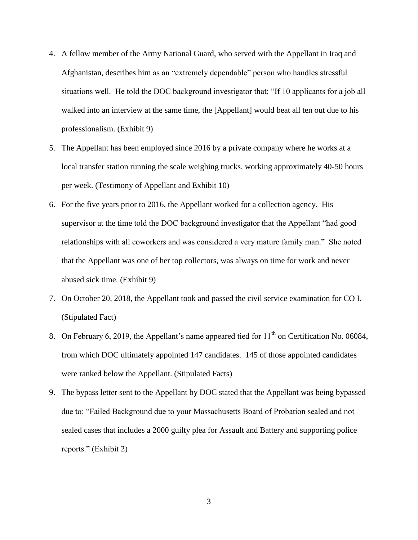- 4. A fellow member of the Army National Guard, who served with the Appellant in Iraq and Afghanistan, describes him as an "extremely dependable" person who handles stressful situations well. He told the DOC background investigator that: "If 10 applicants for a job all walked into an interview at the same time, the [Appellant] would beat all ten out due to his professionalism. (Exhibit 9)
- 5. The Appellant has been employed since 2016 by a private company where he works at a local transfer station running the scale weighing trucks, working approximately 40-50 hours per week. (Testimony of Appellant and Exhibit 10)
- 6. For the five years prior to 2016, the Appellant worked for a collection agency. His supervisor at the time told the DOC background investigator that the Appellant "had good relationships with all coworkers and was considered a very mature family man." She noted that the Appellant was one of her top collectors, was always on time for work and never abused sick time. (Exhibit 9)
- 7. On October 20, 2018, the Appellant took and passed the civil service examination for CO I. (Stipulated Fact)
- 8. On February 6, 2019, the Appellant's name appeared tied for  $11<sup>th</sup>$  on Certification No. 06084, from which DOC ultimately appointed 147 candidates. 145 of those appointed candidates were ranked below the Appellant. (Stipulated Facts)
- 9. The bypass letter sent to the Appellant by DOC stated that the Appellant was being bypassed due to: "Failed Background due to your Massachusetts Board of Probation sealed and not sealed cases that includes a 2000 guilty plea for Assault and Battery and supporting police reports." (Exhibit 2)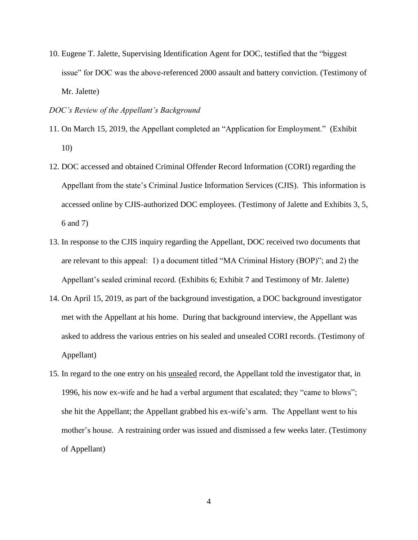10. Eugene T. Jalette, Supervising Identification Agent for DOC, testified that the "biggest issue" for DOC was the above-referenced 2000 assault and battery conviction. (Testimony of Mr. Jalette)

### *DOC's Review of the Appellant's Background*

- 11. On March 15, 2019, the Appellant completed an "Application for Employment." (Exhibit 10)
- 12. DOC accessed and obtained Criminal Offender Record Information (CORI) regarding the Appellant from the state's Criminal Justice Information Services (CJIS). This information is accessed online by CJIS-authorized DOC employees. (Testimony of Jalette and Exhibits 3, 5, 6 and 7)
- 13. In response to the CJIS inquiry regarding the Appellant, DOC received two documents that are relevant to this appeal: 1) a document titled "MA Criminal History (BOP)"; and 2) the Appellant's sealed criminal record. (Exhibits 6; Exhibit 7 and Testimony of Mr. Jalette)
- 14. On April 15, 2019, as part of the background investigation, a DOC background investigator met with the Appellant at his home. During that background interview, the Appellant was asked to address the various entries on his sealed and unsealed CORI records. (Testimony of Appellant)
- 15. In regard to the one entry on his unsealed record, the Appellant told the investigator that, in 1996, his now ex-wife and he had a verbal argument that escalated; they "came to blows"; she hit the Appellant; the Appellant grabbed his ex-wife's arm. The Appellant went to his mother's house. A restraining order was issued and dismissed a few weeks later. (Testimony of Appellant)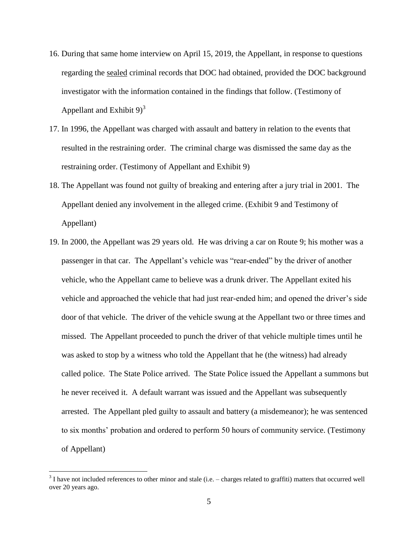- 16. During that same home interview on April 15, 2019, the Appellant, in response to questions regarding the sealed criminal records that DOC had obtained, provided the DOC background investigator with the information contained in the findings that follow. (Testimony of Appellant and Exhibit  $9^3$
- 17. In 1996, the Appellant was charged with assault and battery in relation to the events that resulted in the restraining order. The criminal charge was dismissed the same day as the restraining order. (Testimony of Appellant and Exhibit 9)
- 18. The Appellant was found not guilty of breaking and entering after a jury trial in 2001. The Appellant denied any involvement in the alleged crime. (Exhibit 9 and Testimony of Appellant)
- 19. In 2000, the Appellant was 29 years old. He was driving a car on Route 9; his mother was a passenger in that car. The Appellant's vehicle was "rear-ended" by the driver of another vehicle, who the Appellant came to believe was a drunk driver. The Appellant exited his vehicle and approached the vehicle that had just rear-ended him; and opened the driver's side door of that vehicle. The driver of the vehicle swung at the Appellant two or three times and missed. The Appellant proceeded to punch the driver of that vehicle multiple times until he was asked to stop by a witness who told the Appellant that he (the witness) had already called police. The State Police arrived. The State Police issued the Appellant a summons but he never received it. A default warrant was issued and the Appellant was subsequently arrested. The Appellant pled guilty to assault and battery (a misdemeanor); he was sentenced to six months' probation and ordered to perform 50 hours of community service. (Testimony of Appellant)

 $\overline{a}$ 

 $3$  I have not included references to other minor and stale (i.e.  $-$  charges related to graffiti) matters that occurred well over 20 years ago.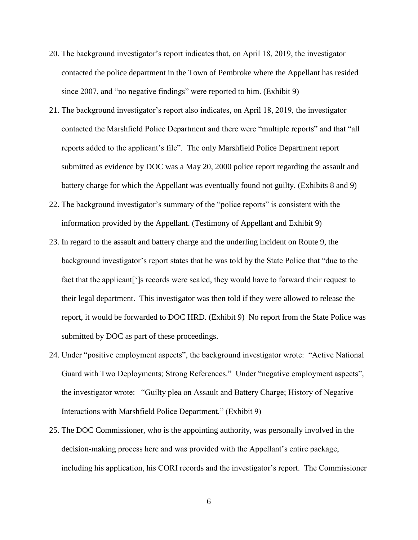- 20. The background investigator's report indicates that, on April 18, 2019, the investigator contacted the police department in the Town of Pembroke where the Appellant has resided since 2007, and "no negative findings" were reported to him. (Exhibit 9)
- 21. The background investigator's report also indicates, on April 18, 2019, the investigator contacted the Marshfield Police Department and there were "multiple reports" and that "all reports added to the applicant's file". The only Marshfield Police Department report submitted as evidence by DOC was a May 20, 2000 police report regarding the assault and battery charge for which the Appellant was eventually found not guilty. (Exhibits 8 and 9)
- 22. The background investigator's summary of the "police reports" is consistent with the information provided by the Appellant. (Testimony of Appellant and Exhibit 9)
- 23. In regard to the assault and battery charge and the underling incident on Route 9, the background investigator's report states that he was told by the State Police that "due to the fact that the applicant<sup>['</sup>]s records were sealed, they would have to forward their request to their legal department. This investigator was then told if they were allowed to release the report, it would be forwarded to DOC HRD. (Exhibit 9) No report from the State Police was submitted by DOC as part of these proceedings.
- 24. Under "positive employment aspects", the background investigator wrote: "Active National Guard with Two Deployments; Strong References." Under "negative employment aspects", the investigator wrote: "Guilty plea on Assault and Battery Charge; History of Negative Interactions with Marshfield Police Department." (Exhibit 9)
- 25. The DOC Commissioner, who is the appointing authority, was personally involved in the decision-making process here and was provided with the Appellant's entire package, including his application, his CORI records and the investigator's report. The Commissioner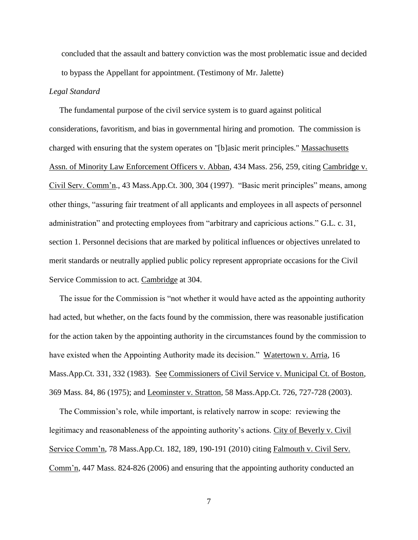concluded that the assault and battery conviction was the most problematic issue and decided to bypass the Appellant for appointment. (Testimony of Mr. Jalette)

## *Legal Standard*

 The fundamental purpose of the civil service system is to guard against political considerations, favoritism, and bias in governmental hiring and promotion. The commission is charged with ensuring that the system operates on "[b]asic merit principles." Massachusetts Assn. of Minority Law Enforcement Officers v. Abban, 434 Mass. 256, 259, citing Cambridge v. Civil Serv. Comm'n., 43 Mass.App.Ct. 300, 304 (1997). "Basic merit principles" means, among other things, "assuring fair treatment of all applicants and employees in all aspects of personnel administration" and protecting employees from "arbitrary and capricious actions." G.L. c. 31, section 1. Personnel decisions that are marked by political influences or objectives unrelated to merit standards or neutrally applied public policy represent appropriate occasions for the Civil Service Commission to act. Cambridge at 304.

 The issue for the Commission is "not whether it would have acted as the appointing authority had acted, but whether, on the facts found by the commission, there was reasonable justification for the action taken by the appointing authority in the circumstances found by the commission to have existed when the Appointing Authority made its decision." Watertown v. Arria, 16 Mass.App.Ct. 331, 332 (1983). See Commissioners of Civil Service v. Municipal Ct. of Boston, 369 Mass. 84, 86 (1975); and Leominster v. Stratton, 58 Mass.App.Ct. 726, 727-728 (2003).

 The Commission's role, while important, is relatively narrow in scope: reviewing the legitimacy and reasonableness of the appointing authority's actions. City of Beverly v. Civil Service Comm'n, 78 Mass.App.Ct. 182, 189, 190-191 (2010) citing Falmouth v. Civil Serv. Comm'n, 447 Mass. 824-826 (2006) and ensuring that the appointing authority conducted an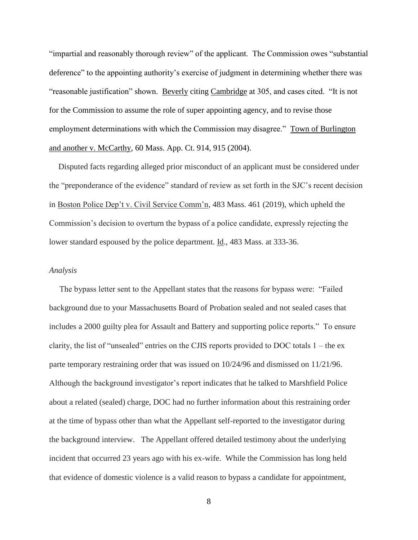"impartial and reasonably thorough review" of the applicant. The Commission owes "substantial deference" to the appointing authority's exercise of judgment in determining whether there was "reasonable justification" shown. Beverly citing Cambridge at 305, and cases cited. "It is not for the Commission to assume the role of super appointing agency, and to revise those employment determinations with which the Commission may disagree." Town of Burlington and another v. McCarthy, 60 Mass. App. Ct. 914, 915 (2004).

Disputed facts regarding alleged prior misconduct of an applicant must be considered under the "preponderance of the evidence" standard of review as set forth in the SJC's recent decision in Boston Police Dep't v. Civil Service Comm'n, 483 Mass. 461 (2019), which upheld the Commission's decision to overturn the bypass of a police candidate, expressly rejecting the lower standard espoused by the police department. Id., 483 Mass. at 333-36.

#### *Analysis*

 The bypass letter sent to the Appellant states that the reasons for bypass were: "Failed background due to your Massachusetts Board of Probation sealed and not sealed cases that includes a 2000 guilty plea for Assault and Battery and supporting police reports." To ensure clarity, the list of "unsealed" entries on the CJIS reports provided to DOC totals  $1 -$  the exparte temporary restraining order that was issued on 10/24/96 and dismissed on 11/21/96. Although the background investigator's report indicates that he talked to Marshfield Police about a related (sealed) charge, DOC had no further information about this restraining order at the time of bypass other than what the Appellant self-reported to the investigator during the background interview. The Appellant offered detailed testimony about the underlying incident that occurred 23 years ago with his ex-wife. While the Commission has long held that evidence of domestic violence is a valid reason to bypass a candidate for appointment,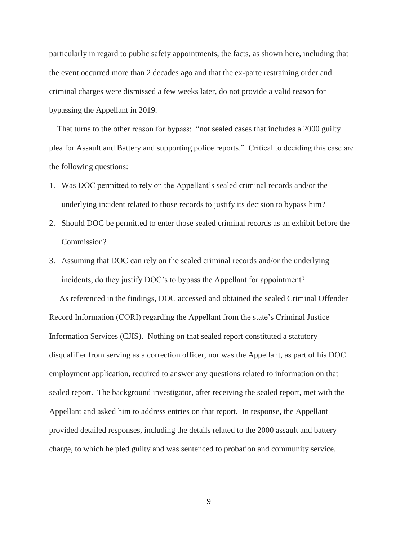particularly in regard to public safety appointments, the facts, as shown here, including that the event occurred more than 2 decades ago and that the ex-parte restraining order and criminal charges were dismissed a few weeks later, do not provide a valid reason for bypassing the Appellant in 2019.

 That turns to the other reason for bypass: "not sealed cases that includes a 2000 guilty plea for Assault and Battery and supporting police reports." Critical to deciding this case are the following questions:

- 1. Was DOC permitted to rely on the Appellant's sealed criminal records and/or the underlying incident related to those records to justify its decision to bypass him?
- 2. Should DOC be permitted to enter those sealed criminal records as an exhibit before the Commission?
- 3. Assuming that DOC can rely on the sealed criminal records and/or the underlying incidents, do they justify DOC's to bypass the Appellant for appointment?

 As referenced in the findings, DOC accessed and obtained the sealed Criminal Offender Record Information (CORI) regarding the Appellant from the state's Criminal Justice Information Services (CJIS). Nothing on that sealed report constituted a statutory disqualifier from serving as a correction officer, nor was the Appellant, as part of his DOC employment application, required to answer any questions related to information on that sealed report. The background investigator, after receiving the sealed report, met with the Appellant and asked him to address entries on that report. In response, the Appellant provided detailed responses, including the details related to the 2000 assault and battery charge, to which he pled guilty and was sentenced to probation and community service.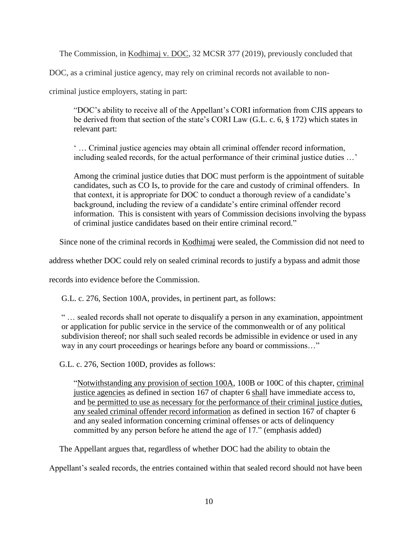The Commission, in Kodhimaj v. DOC, 32 MCSR 377 (2019), previously concluded that

DOC, as a criminal justice agency, may rely on criminal records not available to non-

criminal justice employers, stating in part:

"DOC's ability to receive all of the Appellant's CORI information from CJIS appears to be derived from that section of the state's CORI Law (G.L. c. 6, § 172) which states in relevant part:

' … Criminal justice agencies may obtain all criminal offender record information, including sealed records, for the actual performance of their criminal justice duties …'

Among the criminal justice duties that DOC must perform is the appointment of suitable candidates, such as CO Is, to provide for the care and custody of criminal offenders. In that context, it is appropriate for DOC to conduct a thorough review of a candidate's background, including the review of a candidate's entire criminal offender record information. This is consistent with years of Commission decisions involving the bypass of criminal justice candidates based on their entire criminal record."

Since none of the criminal records in Kodhimaj were sealed, the Commission did not need to

address whether DOC could rely on sealed criminal records to justify a bypass and admit those

records into evidence before the Commission.

G.L. c. 276, Section 100A, provides, in pertinent part, as follows:

" … sealed records shall not operate to disqualify a person in any examination, appointment or application for public service in the service of the commonwealth or of any political subdivision thereof; nor shall such sealed records be admissible in evidence or used in any way in any court proceedings or hearings before any board or commissions..."

G.L. c. 276, Section 100D, provides as follows:

"Notwithstanding any provision of section 100A, 100B or 100C of this chapter, criminal justice agencies as defined in section 167 of chapter 6 shall have immediate access to, and be permitted to use as necessary for the performance of their criminal justice duties, any sealed criminal offender record information as defined in section 167 of chapter 6 and any sealed information concerning criminal offenses or acts of delinquency committed by any person before he attend the age of 17." (emphasis added)

The Appellant argues that, regardless of whether DOC had the ability to obtain the

Appellant's sealed records, the entries contained within that sealed record should not have been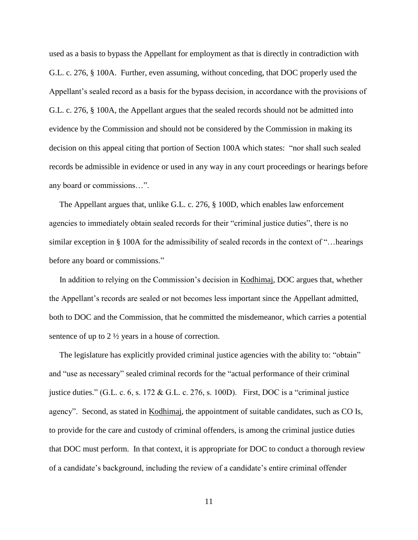used as a basis to bypass the Appellant for employment as that is directly in contradiction with G.L. c. 276, § 100A. Further, even assuming, without conceding, that DOC properly used the Appellant's sealed record as a basis for the bypass decision, in accordance with the provisions of G.L. c. 276, § 100A, the Appellant argues that the sealed records should not be admitted into evidence by the Commission and should not be considered by the Commission in making its decision on this appeal citing that portion of Section 100A which states: "nor shall such sealed records be admissible in evidence or used in any way in any court proceedings or hearings before any board or commissions…".

 The Appellant argues that, unlike G.L. c. 276, § 100D, which enables law enforcement agencies to immediately obtain sealed records for their "criminal justice duties", there is no similar exception in § 100A for the admissibility of sealed records in the context of "…hearings" before any board or commissions."

 In addition to relying on the Commission's decision in Kodhimaj, DOC argues that, whether the Appellant's records are sealed or not becomes less important since the Appellant admitted, both to DOC and the Commission, that he committed the misdemeanor, which carries a potential sentence of up to 2 ½ years in a house of correction.

 The legislature has explicitly provided criminal justice agencies with the ability to: "obtain" and "use as necessary" sealed criminal records for the "actual performance of their criminal justice duties." (G.L. c. 6, s. 172 & G.L. c. 276, s. 100D). First, DOC is a "criminal justice agency". Second, as stated in Kodhimaj, the appointment of suitable candidates, such as CO Is, to provide for the care and custody of criminal offenders, is among the criminal justice duties that DOC must perform. In that context, it is appropriate for DOC to conduct a thorough review of a candidate's background, including the review of a candidate's entire criminal offender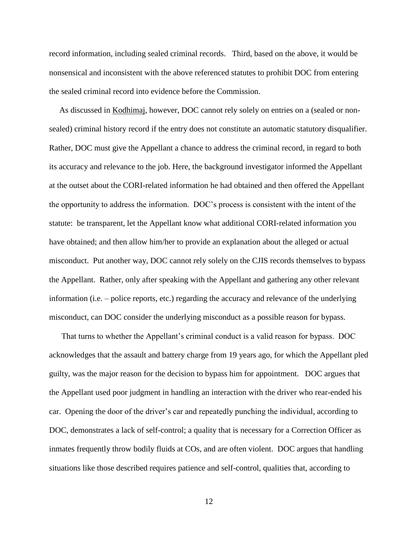record information, including sealed criminal records. Third, based on the above, it would be nonsensical and inconsistent with the above referenced statutes to prohibit DOC from entering the sealed criminal record into evidence before the Commission.

 As discussed in Kodhimaj, however, DOC cannot rely solely on entries on a (sealed or nonsealed) criminal history record if the entry does not constitute an automatic statutory disqualifier. Rather, DOC must give the Appellant a chance to address the criminal record, in regard to both its accuracy and relevance to the job. Here, the background investigator informed the Appellant at the outset about the CORI-related information he had obtained and then offered the Appellant the opportunity to address the information. DOC's process is consistent with the intent of the statute: be transparent, let the Appellant know what additional CORI-related information you have obtained; and then allow him/her to provide an explanation about the alleged or actual misconduct. Put another way, DOC cannot rely solely on the CJIS records themselves to bypass the Appellant. Rather, only after speaking with the Appellant and gathering any other relevant information (i.e. – police reports, etc.) regarding the accuracy and relevance of the underlying misconduct, can DOC consider the underlying misconduct as a possible reason for bypass.

 That turns to whether the Appellant's criminal conduct is a valid reason for bypass. DOC acknowledges that the assault and battery charge from 19 years ago, for which the Appellant pled guilty, was the major reason for the decision to bypass him for appointment. DOC argues that the Appellant used poor judgment in handling an interaction with the driver who rear-ended his car. Opening the door of the driver's car and repeatedly punching the individual, according to DOC, demonstrates a lack of self-control; a quality that is necessary for a Correction Officer as inmates frequently throw bodily fluids at COs, and are often violent. DOC argues that handling situations like those described requires patience and self-control, qualities that, according to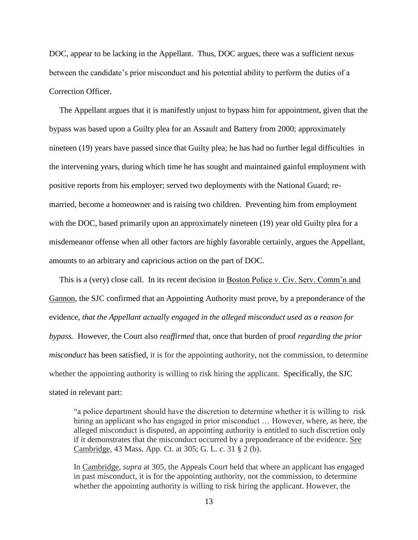DOC, appear to be lacking in the Appellant. Thus, DOC argues, there was a sufficient nexus between the candidate's prior misconduct and his potential ability to perform the duties of a Correction Officer.

 The Appellant argues that it is manifestly unjust to bypass him for appointment, given that the bypass was based upon a Guilty plea for an Assault and Battery from 2000; approximately nineteen (19) years have passed since that Guilty plea; he has had no further legal difficulties in the intervening years, during which time he has sought and maintained gainful employment with positive reports from his employer; served two deployments with the National Guard; remarried, become a homeowner and is raising two children. Preventing him from employment with the DOC, based primarily upon an approximately nineteen (19) year old Guilty plea for a misdemeanor offense when all other factors are highly favorable certainly, argues the Appellant, amounts to an arbitrary and capricious action on the part of DOC.

 This is a (very) close call. In its recent decision in Boston Police v. Civ. Serv. Comm'n and Gannon, the SJC confirmed that an Appointing Authority must prove, by a preponderance of the evidence*, that the Appellant actually engaged in the alleged misconduct used as a reason for bypass.* However, the Court also *reaffirmed* that, once that burden of proof *regarding the prior misconduct* has been satisfied, it is for the appointing authority, not the commission, to determine whether the appointing authority is willing to risk hiring the applicant. Specifically, the SJC stated in relevant part:

"a police department should have the discretion to determine whether it is willing to risk hiring an applicant who has engaged in prior misconduct ... However, where, as here, the alleged misconduct is disputed, an appointing authority is entitled to such discretion only if it demonstrates that the misconduct occurred by a preponderance of the evidence. See Cambridge, 43 Mass. App. Ct. at 305; G. L. c. 31 § 2 (b).

In Cambridge, *supra* at 305, the Appeals Court held that where an applicant has engaged in past misconduct, it is for the appointing authority, not the commission, to determine whether the appointing authority is willing to risk hiring the applicant. However, the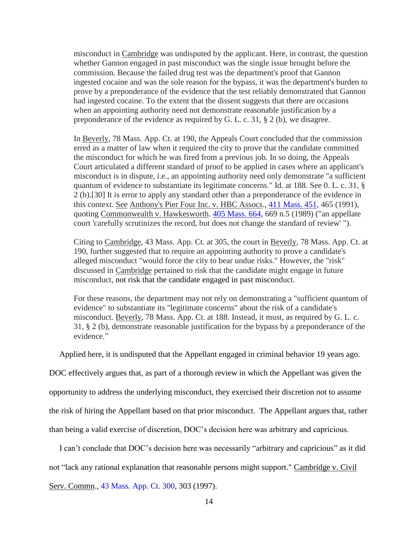misconduct in Cambridge was undisputed by the applicant. Here, in contrast, the question whether Gannon engaged in past misconduct was the single issue brought before the commission. Because the failed drug test was the department's proof that Gannon ingested cocaine and was the sole reason for the bypass, it was the department's burden to prove by a preponderance of the evidence that the test reliably demonstrated that Gannon had ingested cocaine. To the extent that the dissent suggests that there are occasions when an appointing authority need not demonstrate reasonable justification by a preponderance of the evidence as required by G. L. c. 31, § 2 (b), we disagree.

In Beverly, 78 Mass. App. Ct. at 190, the Appeals Court concluded that the commission erred as a matter of law when it required the city to prove that the candidate committed the misconduct for which he was fired from a previous job. In so doing, the Appeals Court articulated a different standard of proof to be applied in cases where an applicant's misconduct is in dispute, i.e., an appointing authority need only demonstrate "a sufficient quantum of evidence to substantiate its legitimate concerns." Id. at 188. See 0. L. c. 31, § 2 (b).[30] It is error to apply any standard other than a preponderance of the evidence in this context. See Anthony's Pier Four Inc. v. HBC Assocs., [411 Mass. 451,](http://sll.gvpi.net/document.php?id=sjcapp:411_mass_451) 465 (1991), quoting Commonwealth v. Hawkesworth. [405 Mass. 664,](http://sll.gvpi.net/document.php?id=sjcapp:405_mass_664) 669 n.5 (1989) ("an appellate court 'carefully scrutinizes the record, but does not change the standard of review' ").

Citing to Cambridge, 43 Mass. App. Ct. at 305, the court in Beverly, 78 Mass. App. Ct. at 190, further suggested that to require an appointing authority to prove a candidate's alleged misconduct "would force the city to bear undue risks." However, the "risk" discussed in Cambridge pertained to risk that the candidate might engage in future misconduct, not risk that the candidate engaged in past misconduct.

For these reasons, the department may not rely on demonstrating a "sufficient quantum of evidence" to substantiate its "legitimate concerns" about the risk of a candidate's misconduct. Beverly, 78 Mass. App. Ct. at 188. Instead, it must, as required by G. L. c. 31, § 2 (b), demonstrate reasonable justification for the bypass by a preponderance of the evidence."

Applied here, it is undisputed that the Appellant engaged in criminal behavior 19 years ago.

DOC effectively argues that, as part of a thorough review in which the Appellant was given the

opportunity to address the underlying misconduct, they exercised their discretion not to assume

the risk of hiring the Appellant based on that prior misconduct. The Appellant argues that, rather

than being a valid exercise of discretion, DOC's decision here was arbitrary and capricious.

I can't conclude that DOC's decision here was necessarily "arbitrary and capricious" as it did

not "lack any rational explanation that reasonable persons might support." Cambridge v. Civil

Serv. Commn., [43 Mass. App. Ct. 300,](http://sll.gvpi.net/document.php?field=jd&value=sjcapp:43_mass._app._ct._300) 303 (1997).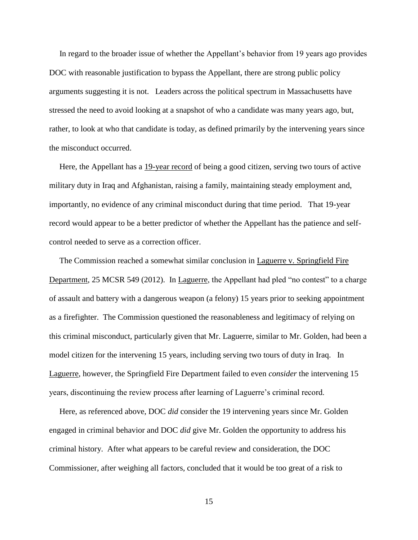In regard to the broader issue of whether the Appellant's behavior from 19 years ago provides DOC with reasonable justification to bypass the Appellant, there are strong public policy arguments suggesting it is not. Leaders across the political spectrum in Massachusetts have stressed the need to avoid looking at a snapshot of who a candidate was many years ago, but, rather, to look at who that candidate is today, as defined primarily by the intervening years since the misconduct occurred.

 Here, the Appellant has a 19-year record of being a good citizen, serving two tours of active military duty in Iraq and Afghanistan, raising a family, maintaining steady employment and, importantly, no evidence of any criminal misconduct during that time period. That 19-year record would appear to be a better predictor of whether the Appellant has the patience and selfcontrol needed to serve as a correction officer.

 The Commission reached a somewhat similar conclusion in Laguerre v. Springfield Fire Department, 25 MCSR 549 (2012). In Laguerre, the Appellant had pled "no contest" to a charge of assault and battery with a dangerous weapon (a felony) 15 years prior to seeking appointment as a firefighter. The Commission questioned the reasonableness and legitimacy of relying on this criminal misconduct, particularly given that Mr. Laguerre, similar to Mr. Golden, had been a model citizen for the intervening 15 years, including serving two tours of duty in Iraq. In Laguerre, however, the Springfield Fire Department failed to even *consider* the intervening 15 years, discontinuing the review process after learning of Laguerre's criminal record.

 Here, as referenced above, DOC *did* consider the 19 intervening years since Mr. Golden engaged in criminal behavior and DOC *did* give Mr. Golden the opportunity to address his criminal history. After what appears to be careful review and consideration, the DOC Commissioner, after weighing all factors, concluded that it would be too great of a risk to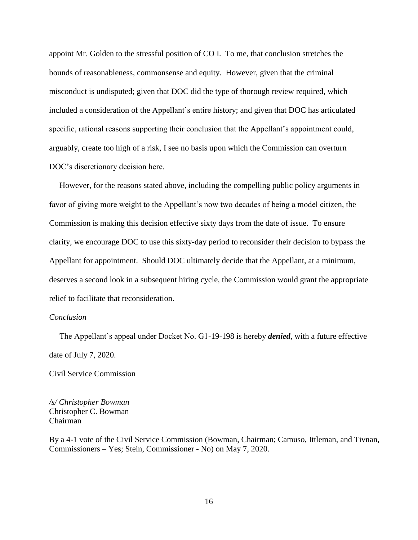appoint Mr. Golden to the stressful position of CO I. To me, that conclusion stretches the bounds of reasonableness, commonsense and equity. However, given that the criminal misconduct is undisputed; given that DOC did the type of thorough review required, which included a consideration of the Appellant's entire history; and given that DOC has articulated specific, rational reasons supporting their conclusion that the Appellant's appointment could, arguably, create too high of a risk, I see no basis upon which the Commission can overturn DOC's discretionary decision here.

 However, for the reasons stated above, including the compelling public policy arguments in favor of giving more weight to the Appellant's now two decades of being a model citizen, the Commission is making this decision effective sixty days from the date of issue. To ensure clarity, we encourage DOC to use this sixty-day period to reconsider their decision to bypass the Appellant for appointment. Should DOC ultimately decide that the Appellant, at a minimum, deserves a second look in a subsequent hiring cycle, the Commission would grant the appropriate relief to facilitate that reconsideration.

## *Conclusion*

 The Appellant's appeal under Docket No. G1-19-198 is hereby *denied*, with a future effective date of July 7, 2020.

Civil Service Commission

*/s/ Christopher Bowman* Christopher C. Bowman Chairman

By a 4-1 vote of the Civil Service Commission (Bowman, Chairman; Camuso, Ittleman, and Tivnan, Commissioners – Yes; Stein, Commissioner - No) on May 7, 2020.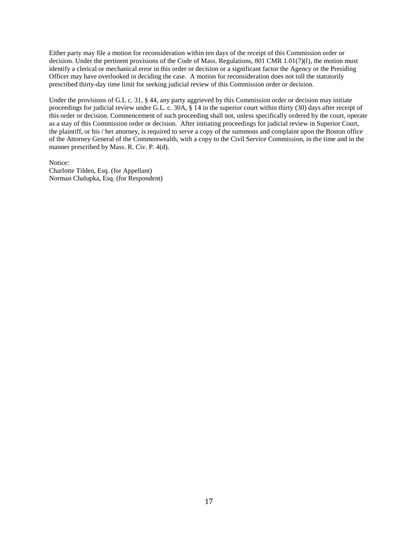Either party may file a motion for reconsideration within ten days of the receipt of this Commission order or decision. Under the pertinent provisions of the Code of Mass. Regulations, 801 CMR 1.01(7)(l), the motion must identify a clerical or mechanical error in this order or decision or a significant factor the Agency or the Presiding Officer may have overlooked in deciding the case. A motion for reconsideration does not toll the statutorily prescribed thirty-day time limit for seeking judicial review of this Commission order or decision.

Under the provisions of G.L c. 31, § 44, any party aggrieved by this Commission order or decision may initiate proceedings for judicial review under G.L. c. 30A, § 14 in the superior court within thirty (30) days after receipt of this order or decision. Commencement of such proceeding shall not, unless specifically ordered by the court, operate as a stay of this Commission order or decision. After initiating proceedings for judicial review in Superior Court, the plaintiff, or his / her attorney, is required to serve a copy of the summons and complaint upon the Boston office of the Attorney General of the Commonwealth, with a copy to the Civil Service Commission, in the time and in the manner prescribed by Mass. R. Civ. P. 4(d).

Notice: Charlotte Tilden, Esq. (for Appellant) Norman Chalupka, Esq. (for Respondent)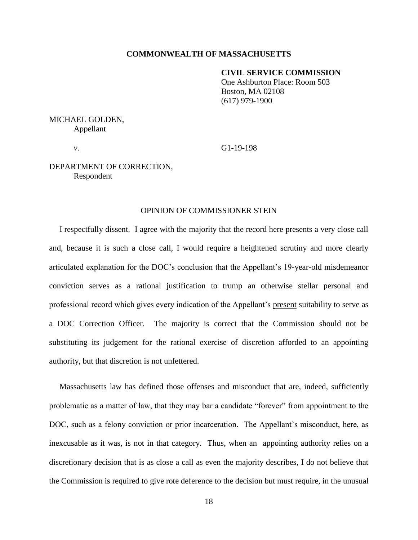### **COMMONWEALTH OF MASSACHUSETTS**

### **CIVIL SERVICE COMMISSION**

One Ashburton Place: Room 503 Boston, MA 02108 (617) 979-1900

MICHAEL GOLDEN, Appellant

*v*. G1-19-198

# DEPARTMENT OF CORRECTION, Respondent

## OPINION OF COMMISSIONER STEIN

 I respectfully dissent. I agree with the majority that the record here presents a very close call and, because it is such a close call, I would require a heightened scrutiny and more clearly articulated explanation for the DOC's conclusion that the Appellant's 19-year-old misdemeanor conviction serves as a rational justification to trump an otherwise stellar personal and professional record which gives every indication of the Appellant's present suitability to serve as a DOC Correction Officer. The majority is correct that the Commission should not be substituting its judgement for the rational exercise of discretion afforded to an appointing authority, but that discretion is not unfettered.

 Massachusetts law has defined those offenses and misconduct that are, indeed, sufficiently problematic as a matter of law, that they may bar a candidate "forever" from appointment to the DOC, such as a felony conviction or prior incarceration. The Appellant's misconduct, here, as inexcusable as it was, is not in that category. Thus, when an appointing authority relies on a discretionary decision that is as close a call as even the majority describes, I do not believe that the Commission is required to give rote deference to the decision but must require, in the unusual